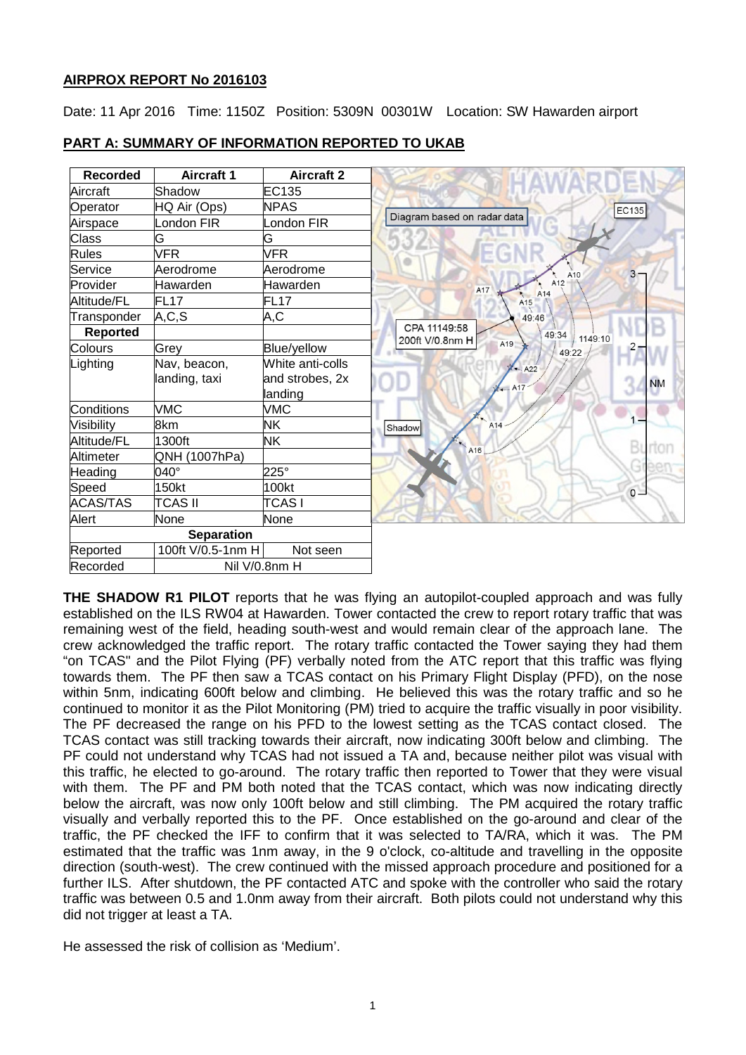## **AIRPROX REPORT No 2016103**

Date: 11 Apr 2016 Time: 1150Z Position: 5309N 00301W Location: SW Hawarden airport

| <b>Recorded</b> | Aircraft 1        | <b>Aircraft 2</b> |                             |     |            |                  |   |           |
|-----------------|-------------------|-------------------|-----------------------------|-----|------------|------------------|---|-----------|
| Aircraft        | Shadow            | EC135             |                             |     |            |                  |   |           |
| Operator        | HQ Air (Ops)      | <b>NPAS</b>       |                             |     |            |                  |   | EC135     |
| Airspace        | ondon FIR         | ondon FIR         | Diagram based on radar data |     |            |                  |   |           |
| Class           | G                 | G                 |                             |     |            |                  |   |           |
| <b>Rules</b>    | <b>VFR</b>        | <b>VFR</b>        |                             |     |            |                  |   |           |
| Service         | Aerodrome         | Aerodrome         |                             |     |            | A10              | 3 |           |
| Provider        | Hawarden          | Hawarden          | A17                         |     |            | A <sub>12</sub>  |   |           |
| Altitude/FL     | <b>FL17</b>       | FL <sub>17</sub>  |                             |     | A14<br>A15 |                  |   |           |
| Transponder     | A, C, S           | A,C               |                             |     | 49:46      |                  |   |           |
| <b>Reported</b> |                   |                   | CPA 11149:58                |     |            | 49:34<br>1149:10 |   |           |
| Colours         | Grey              | Blue/yellow       | 200ft V/0.8nm H             | A19 |            | 49:22            |   |           |
| Lighting        | Nav, beacon,      | White anti-colls  |                             |     | X  A22     |                  |   |           |
|                 | landing, taxi     | and strobes, 2x   |                             |     |            |                  |   | <b>NM</b> |
|                 |                   | landing           |                             | A17 |            |                  |   |           |
| Conditions      | <b>VMC</b>        | <b>VMC</b>        |                             |     |            |                  |   |           |
| Visibility      | 8km               | <b>NK</b>         | Shadow                      | A14 |            |                  |   |           |
| Altitude/FL     | 1300ft            | NΚ                | A <sub>16</sub>             |     |            |                  |   | B         |
| Altimeter       | QNH (1007hPa)     |                   |                             |     |            |                  |   |           |
| Heading         | $040^\circ$       | $225^\circ$       |                             |     |            |                  |   | G         |
| Speed           | 150kt             | 100kt             |                             |     |            |                  |   | $\circ$   |
| <b>ACAS/TAS</b> | <b>TCAS II</b>    | <b>TCASI</b>      |                             |     |            |                  |   |           |
| Alert           | None              | None              |                             |     |            |                  |   |           |
|                 | <b>Separation</b> |                   |                             |     |            |                  |   |           |
| Reported        | 100ft V/0.5-1nm H | Not seen          |                             |     |            |                  |   |           |
| Recorded        |                   | Nil V/0.8nm H     |                             |     |            |                  |   |           |

# **PART A: SUMMARY OF INFORMATION REPORTED TO UKAB**

**THE SHADOW R1 PILOT** reports that he was flying an autopilot-coupled approach and was fully established on the ILS RW04 at Hawarden. Tower contacted the crew to report rotary traffic that was remaining west of the field, heading south-west and would remain clear of the approach lane. The crew acknowledged the traffic report. The rotary traffic contacted the Tower saying they had them "on TCAS" and the Pilot Flying (PF) verbally noted from the ATC report that this traffic was flying towards them. The PF then saw a TCAS contact on his Primary Flight Display (PFD), on the nose within 5nm, indicating 600ft below and climbing. He believed this was the rotary traffic and so he continued to monitor it as the Pilot Monitoring (PM) tried to acquire the traffic visually in poor visibility. The PF decreased the range on his PFD to the lowest setting as the TCAS contact closed. The TCAS contact was still tracking towards their aircraft, now indicating 300ft below and climbing. The PF could not understand why TCAS had not issued a TA and, because neither pilot was visual with this traffic, he elected to go-around. The rotary traffic then reported to Tower that they were visual with them. The PF and PM both noted that the TCAS contact, which was now indicating directly below the aircraft, was now only 100ft below and still climbing. The PM acquired the rotary traffic visually and verbally reported this to the PF. Once established on the go-around and clear of the traffic, the PF checked the IFF to confirm that it was selected to TA/RA, which it was. The PM estimated that the traffic was 1nm away, in the 9 o'clock, co-altitude and travelling in the opposite direction (south-west). The crew continued with the missed approach procedure and positioned for a further ILS. After shutdown, the PF contacted ATC and spoke with the controller who said the rotary traffic was between 0.5 and 1.0nm away from their aircraft. Both pilots could not understand why this did not trigger at least a TA.

He assessed the risk of collision as 'Medium'.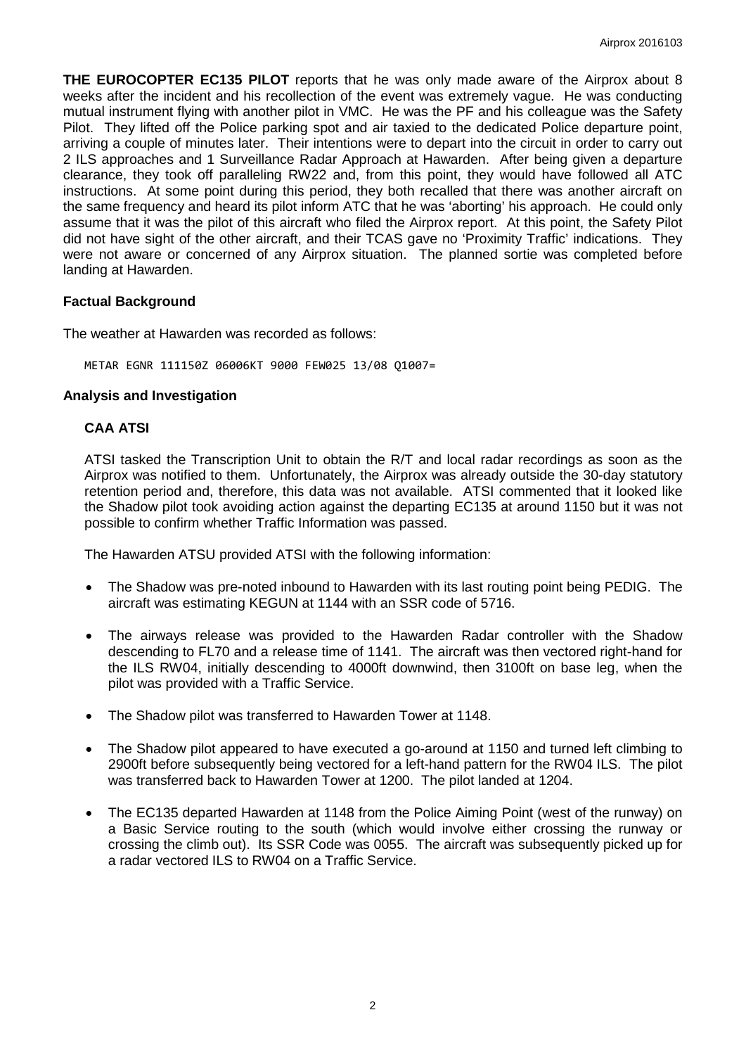**THE EUROCOPTER EC135 PILOT** reports that he was only made aware of the Airprox about 8 weeks after the incident and his recollection of the event was extremely vague. He was conducting mutual instrument flying with another pilot in VMC. He was the PF and his colleague was the Safety Pilot. They lifted off the Police parking spot and air taxied to the dedicated Police departure point, arriving a couple of minutes later. Their intentions were to depart into the circuit in order to carry out 2 ILS approaches and 1 Surveillance Radar Approach at Hawarden. After being given a departure clearance, they took off paralleling RW22 and, from this point, they would have followed all ATC instructions. At some point during this period, they both recalled that there was another aircraft on the same frequency and heard its pilot inform ATC that he was 'aborting' his approach. He could only assume that it was the pilot of this aircraft who filed the Airprox report. At this point, the Safety Pilot did not have sight of the other aircraft, and their TCAS gave no 'Proximity Traffic' indications. They were not aware or concerned of any Airprox situation. The planned sortie was completed before landing at Hawarden.

### **Factual Background**

The weather at Hawarden was recorded as follows:

METAR EGNR 111150Z 06006KT 9000 FEW025 13/08 Q1007=

#### **Analysis and Investigation**

### **CAA ATSI**

ATSI tasked the Transcription Unit to obtain the R/T and local radar recordings as soon as the Airprox was notified to them. Unfortunately, the Airprox was already outside the 30-day statutory retention period and, therefore, this data was not available. ATSI commented that it looked like the Shadow pilot took avoiding action against the departing EC135 at around 1150 but it was not possible to confirm whether Traffic Information was passed.

The Hawarden ATSU provided ATSI with the following information:

- The Shadow was pre-noted inbound to Hawarden with its last routing point being PEDIG. The aircraft was estimating KEGUN at 1144 with an SSR code of 5716.
- The airways release was provided to the Hawarden Radar controller with the Shadow descending to FL70 and a release time of 1141. The aircraft was then vectored right-hand for the ILS RW04, initially descending to 4000ft downwind, then 3100ft on base leg, when the pilot was provided with a Traffic Service.
- The Shadow pilot was transferred to Hawarden Tower at 1148.
- The Shadow pilot appeared to have executed a go-around at 1150 and turned left climbing to 2900ft before subsequently being vectored for a left-hand pattern for the RW04 ILS. The pilot was transferred back to Hawarden Tower at 1200. The pilot landed at 1204.
- The EC135 departed Hawarden at 1148 from the Police Aiming Point (west of the runway) on a Basic Service routing to the south (which would involve either crossing the runway or crossing the climb out). Its SSR Code was 0055. The aircraft was subsequently picked up for a radar vectored ILS to RW04 on a Traffic Service.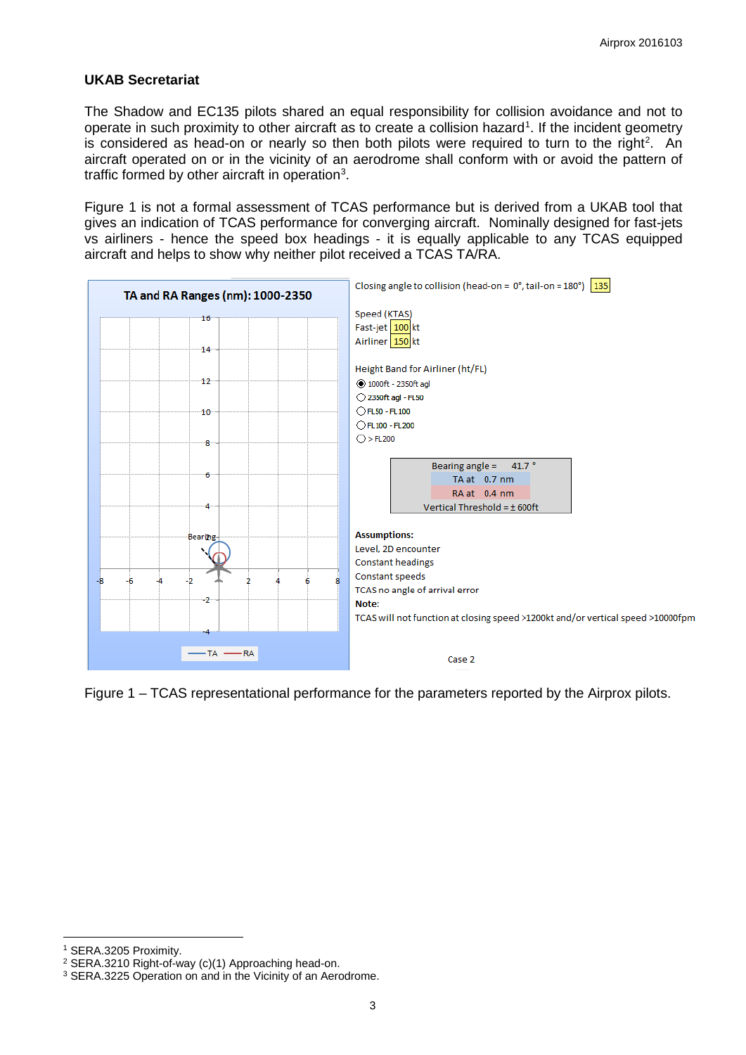## **UKAB Secretariat**

The Shadow and EC135 pilots shared an equal responsibility for collision avoidance and not to operate in such proximity to other aircraft as to create a collision hazard<sup>[1](#page-2-0)</sup>. If the incident geometry is considered as head-on or nearly so then both pilots were required to turn to the right<sup>[2](#page-2-1)</sup>. An aircraft operated on or in the vicinity of an aerodrome shall conform with or avoid the pattern of traffic formed by other aircraft in operation<sup>[3](#page-2-2)</sup>.

Figure 1 is not a formal assessment of TCAS performance but is derived from a UKAB tool that gives an indication of TCAS performance for converging aircraft. Nominally designed for fast-jets vs airliners - hence the speed box headings - it is equally applicable to any TCAS equipped aircraft and helps to show why neither pilot received a TCAS TA/RA.



Figure 1 – TCAS representational performance for the parameters reported by the Airprox pilots.

 $\overline{\phantom{a}}$ 

<span id="page-2-0"></span><sup>1</sup> SERA.3205 Proximity.

<span id="page-2-1"></span><sup>2</sup> SERA.3210 Right-of-way (c)(1) Approaching head-on.

<span id="page-2-2"></span><sup>&</sup>lt;sup>3</sup> SERA.3225 Operation on and in the Vicinity of an Aerodrome.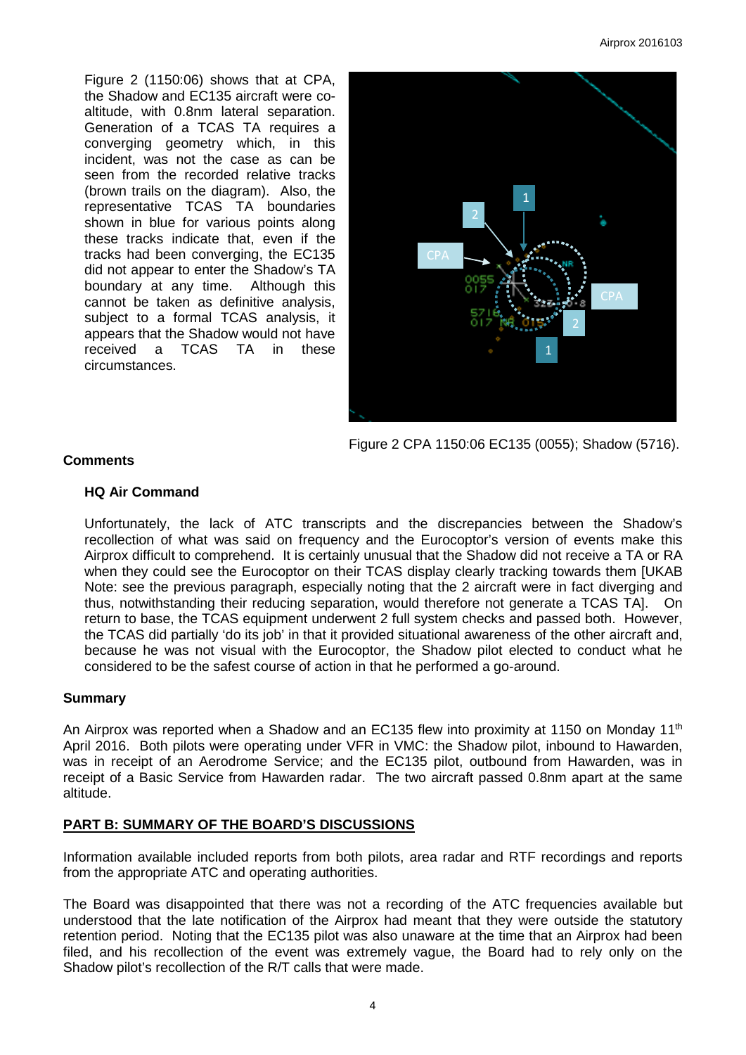Figure 2 (1150:06) shows that at CPA, the Shadow and EC135 aircraft were coaltitude, with 0.8nm lateral separation. Generation of a TCAS TA requires a converging geometry which, in this incident, was not the case as can be seen from the recorded relative tracks (brown trails on the diagram). Also, the representative TCAS TA boundaries shown in blue for various points along these tracks indicate that, even if the tracks had been converging, the EC135 did not appear to enter the Shadow's TA boundary at any time. Although this cannot be taken as definitive analysis, subject to a formal TCAS analysis, it appears that the Shadow would not have received a TCAS TA in these circumstances.



Figure 2 CPA 1150:06 EC135 (0055); Shadow (5716).

## **Comments**

## **HQ Air Command**

Unfortunately, the lack of ATC transcripts and the discrepancies between the Shadow's recollection of what was said on frequency and the Eurocoptor's version of events make this Airprox difficult to comprehend. It is certainly unusual that the Shadow did not receive a TA or RA when they could see the Eurocoptor on their TCAS display clearly tracking towards them [UKAB Note: see the previous paragraph, especially noting that the 2 aircraft were in fact diverging and thus, notwithstanding their reducing separation, would therefore not generate a TCAS TA]. On return to base, the TCAS equipment underwent 2 full system checks and passed both. However, the TCAS did partially 'do its job' in that it provided situational awareness of the other aircraft and, because he was not visual with the Eurocoptor, the Shadow pilot elected to conduct what he considered to be the safest course of action in that he performed a go-around.

## **Summary**

An Airprox was reported when a Shadow and an EC135 flew into proximity at 1150 on Monday 11<sup>th</sup> April 2016. Both pilots were operating under VFR in VMC: the Shadow pilot, inbound to Hawarden, was in receipt of an Aerodrome Service; and the EC135 pilot, outbound from Hawarden, was in receipt of a Basic Service from Hawarden radar. The two aircraft passed 0.8nm apart at the same altitude.

## **PART B: SUMMARY OF THE BOARD'S DISCUSSIONS**

Information available included reports from both pilots, area radar and RTF recordings and reports from the appropriate ATC and operating authorities.

The Board was disappointed that there was not a recording of the ATC frequencies available but understood that the late notification of the Airprox had meant that they were outside the statutory retention period. Noting that the EC135 pilot was also unaware at the time that an Airprox had been filed, and his recollection of the event was extremely vague, the Board had to rely only on the Shadow pilot's recollection of the R/T calls that were made.